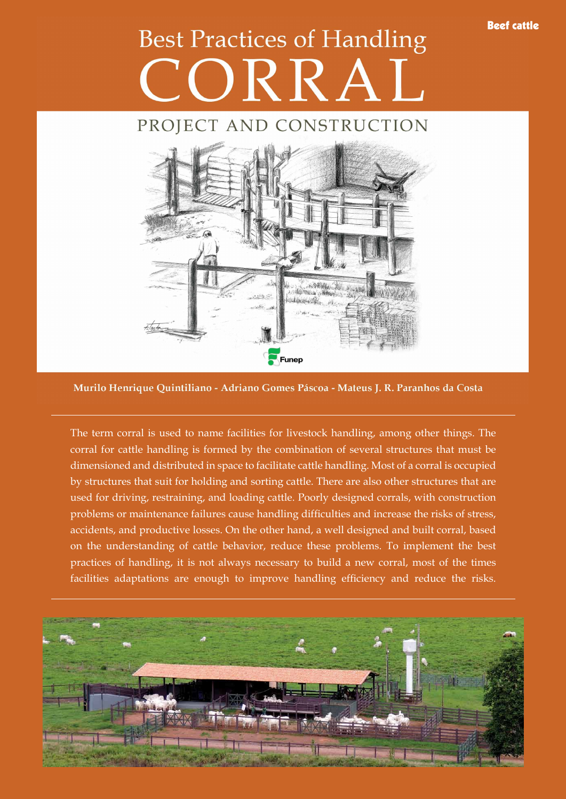## Beef cattle

## **Best Practices of Handling** ORRAL

## PROJECT AND CONSTRUCTION



Murilo Henrique Quintiliano - Adriano Gomes Páscoa - Mateus J. R. Paranhos da Costa

The term corral is used to name facilities for livestock handling, among other things. The corral for cattle handling is formed by the combination of several structures that must be dimensioned and distributed in space to facilitate cattle handling. Most of a corral is occupied by structures that suit for holding and sorting cattle. There are also other structures that are used for driving, restraining, and loading cattle. Poorly designed corrals, with construction problems or maintenance failures cause handling difficulties and increase the risks of stress, accidents, and productive losses. On the other hand, a well designed and built corral, based on the understanding of cattle behavior, reduce these problems. To implement the best practices of handling, it is not always necessary to build a new corral, most of the times facilities adaptations are enough to improve handling efficiency and reduce the risks.